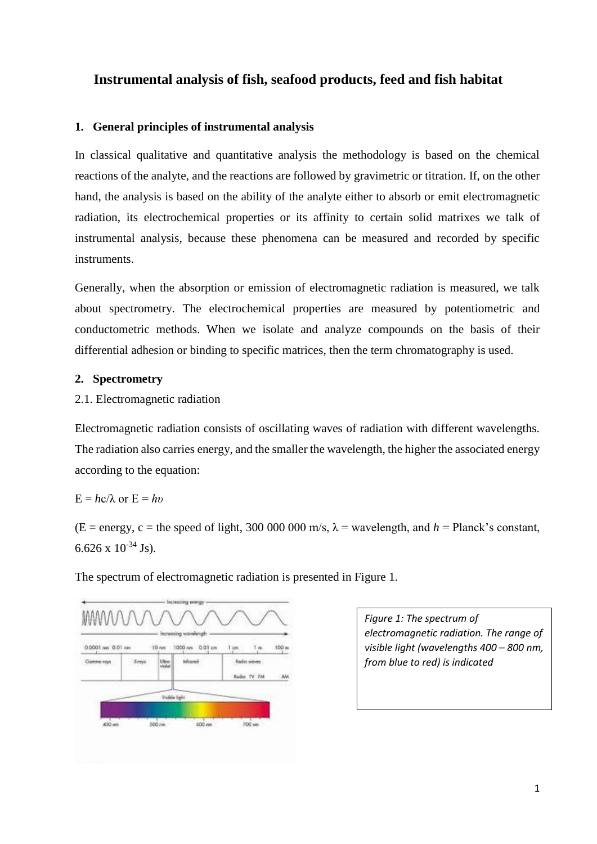# **Instrumental analysis of fish, seafood products, feed and fish habitat**

### **1. General principles of instrumental analysis**

In classical qualitative and quantitative analysis the methodology is based on the chemical reactions of the analyte, and the reactions are followed by gravimetric or titration. If, on the other hand, the analysis is based on the ability of the analyte either to absorb or emit electromagnetic radiation, its electrochemical properties or its affinity to certain solid matrixes we talk of instrumental analysis, because these phenomena can be measured and recorded by specific instruments.

Generally, when the absorption or emission of electromagnetic radiation is measured, we talk about spectrometry. The electrochemical properties are measured by potentiometric and conductometric methods. When we isolate and analyze compounds on the basis of their differential adhesion or binding to specific matrices, then the term chromatography is used.

### **2. Spectrometry**

2.1. Electromagnetic radiation

Electromagnetic radiation consists of oscillating waves of radiation with different wavelengths. The radiation also carries energy, and the smaller the wavelength, the higher the associated energy according to the equation:

# $E = hc/\lambda$  or  $E = hv$

 $(E = energy, c = the speed of light, 300,000, 000, m/s, \lambda = wavelength, and h = Planck's constant,$ 6.626 x  $10^{-34}$  Js).

The spectrum of electromagnetic radiation is presented in Figure 1.



*Figure 1: The spectrum of electromagnetic radiation. The range of visible light (wavelengths 400 – 800 nm, from blue to red) is indicated*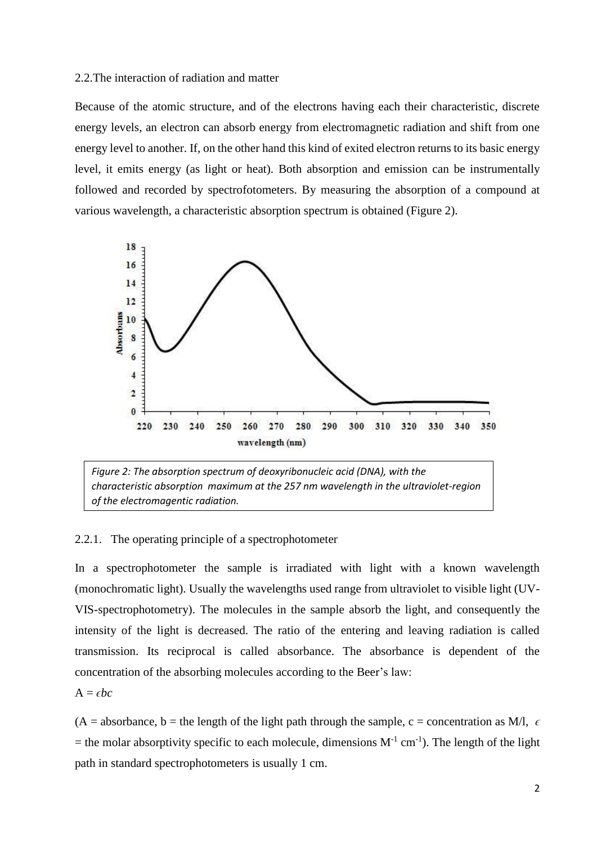#### 2.2.The interaction of radiation and matter

Because of the atomic structure, and of the electrons having each their characteristic, discrete energy levels, an electron can absorb energy from electromagnetic radiation and shift from one energy level to another. If, on the other hand this kind of exited electron returns to its basic energy level, it emits energy (as light or heat). Both absorption and emission can be instrumentally followed and recorded by spectrofotometers. By measuring the absorption of a compound at various wavelength, a characteristic absorption spectrum is obtained (Figure 2).





#### 2.2.1. The operating principle of a spectrophotometer

In a spectrophotometer the sample is irradiated with light with a known wavelength (monochromatic light). Usually the wavelengths used range from ultraviolet to visible light (UV-VIS-spectrophotometry). The molecules in the sample absorb the light, and consequently the intensity of the light is decreased. The ratio of the entering and leaving radiation is called transmission. Its reciprocal is called absorbance. The absorbance is dependent of the concentration of the absorbing molecules according to the Beer's law:

 $A = \epsilon bc$ 

 $(A = absorbance, b = the length of the light path through the sample, c = concentration as M/l,  $\epsilon$$ = the molar absorptivity specific to each molecule, dimensions  $M^{-1}$  cm<sup>-1</sup>). The length of the light path in standard spectrophotometers is usually 1 cm.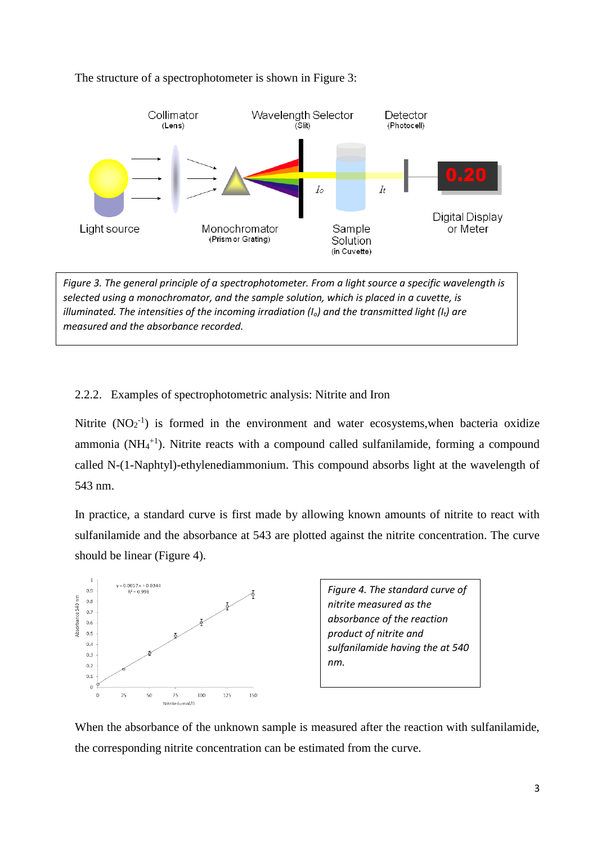

### The structure of a spectrophotometer is shown in Figure 3:

*Figure 3. The general principle of a spectrophotometer. From a light source a specific wavelength is selected using a monochromator, and the sample solution, which is placed in a cuvette, is illuminated. The intensities of the incoming irradiation (Io) and the transmitted light (It) are measured and the absorbance recorded.*

# 2.2.2. Examples of spectrophotometric analysis: Nitrite and Iron

Nitrite  $(NO<sub>2</sub><sup>-1</sup>)$  is formed in the environment and water ecosystems, when bacteria oxidize ammonia ( $NH_4$ <sup>+1</sup>). Nitrite reacts with a compound called sulfanilamide, forming a compound called N-(1-Naphtyl)-ethylenediammonium. This compound absorbs light at the wavelength of 543 nm.

In practice, a standard curve is first made by allowing known amounts of nitrite to react with sulfanilamide and the absorbance at 543 are plotted against the nitrite concentration. The curve should be linear (Figure 4).



*Figure 4. The standard curve of nitrite measured as the absorbance of the reaction product of nitrite and sulfanilamide having the at 540 nm.* 

When the absorbance of the unknown sample is measured after the reaction with sulfanilamide, the corresponding nitrite concentration can be estimated from the curve.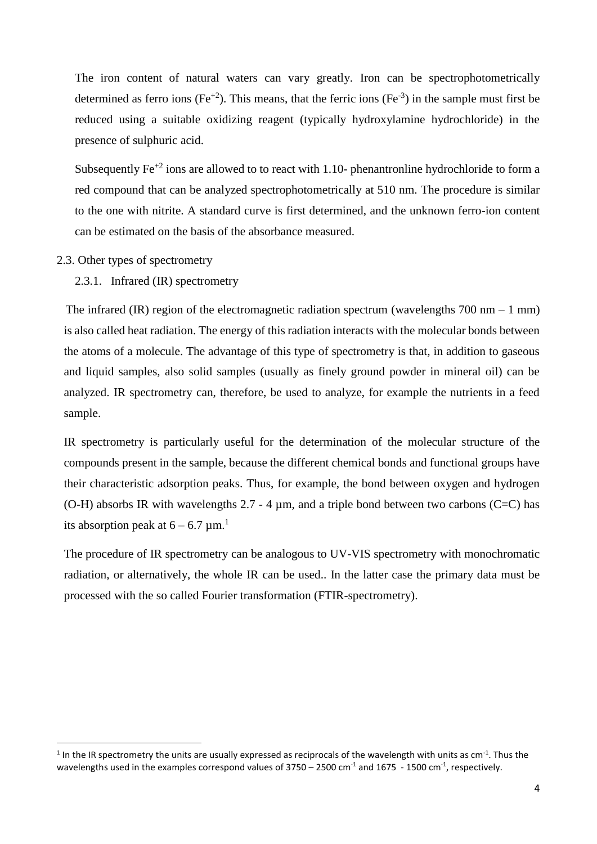The iron content of natural waters can vary greatly. Iron can be spectrophotometrically determined as ferro ions (Fe<sup>+2</sup>). This means, that the ferric ions (Fe<sup>-3</sup>) in the sample must first be reduced using a suitable oxidizing reagent (typically hydroxylamine hydrochloride) in the presence of sulphuric acid.

Subsequently  $Fe^{+2}$  ions are allowed to to react with 1.10- phenantronline hydrochloride to form a red compound that can be analyzed spectrophotometrically at 510 nm. The procedure is similar to the one with nitrite. A standard curve is first determined, and the unknown ferro-ion content can be estimated on the basis of the absorbance measured.

2.3. Other types of spectrometry

1

2.3.1. Infrared (IR) spectrometry

The infrared (IR) region of the electromagnetic radiation spectrum (wavelengths  $700 \text{ nm} - 1 \text{ mm}$ ) is also called heat radiation. The energy of this radiation interacts with the molecular bonds between the atoms of a molecule. The advantage of this type of spectrometry is that, in addition to gaseous and liquid samples, also solid samples (usually as finely ground powder in mineral oil) can be analyzed. IR spectrometry can, therefore, be used to analyze, for example the nutrients in a feed sample.

IR spectrometry is particularly useful for the determination of the molecular structure of the compounds present in the sample, because the different chemical bonds and functional groups have their characteristic adsorption peaks. Thus, for example, the bond between oxygen and hydrogen (O-H) absorbs IR with wavelengths 2.7 - 4 um, and a triple bond between two carbons (C=C) has its absorption peak at  $6 - 6.7$  µm.<sup>1</sup>

The procedure of IR spectrometry can be analogous to UV-VIS spectrometry with monochromatic radiation, or alternatively, the whole IR can be used.. In the latter case the primary data must be processed with the so called Fourier transformation (FTIR-spectrometry).

<sup>&</sup>lt;sup>1</sup> In the IR spectrometry the units are usually expressed as reciprocals of the wavelength with units as cm<sup>-1</sup>. Thus the wavelengths used in the examples correspond values of 3750 – 2500 cm<sup>-1</sup> and 1675 - 1500 cm<sup>-1</sup>, respectively.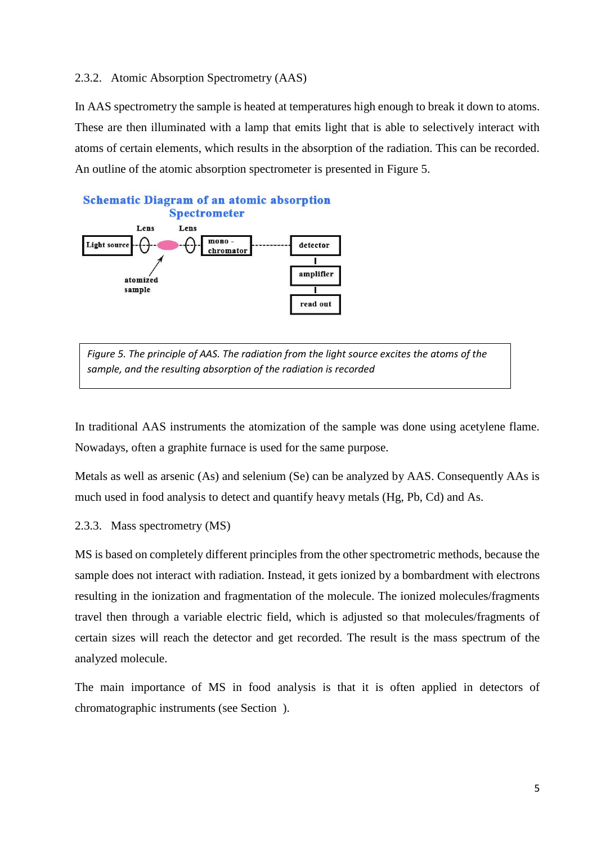### 2.3.2. Atomic Absorption Spectrometry (AAS)

In AAS spectrometry the sample is heated at temperatures high enough to break it down to atoms. These are then illuminated with a lamp that emits light that is able to selectively interact with atoms of certain elements, which results in the absorption of the radiation. This can be recorded. An outline of the atomic absorption spectrometer is presented in Figure 5.



*Figure 5. The principle of AAS. The radiation from the light source excites the atoms of the sample, and the resulting absorption of the radiation is recorded*

In traditional AAS instruments the atomization of the sample was done using acetylene flame. Nowadays, often a graphite furnace is used for the same purpose.

Metals as well as arsenic (As) and selenium (Se) can be analyzed by AAS. Consequently AAs is much used in food analysis to detect and quantify heavy metals (Hg, Pb, Cd) and As.

#### 2.3.3. Mass spectrometry (MS)

MS is based on completely different principles from the other spectrometric methods, because the sample does not interact with radiation. Instead, it gets ionized by a bombardment with electrons resulting in the ionization and fragmentation of the molecule. The ionized molecules/fragments travel then through a variable electric field, which is adjusted so that molecules/fragments of certain sizes will reach the detector and get recorded. The result is the mass spectrum of the analyzed molecule.

The main importance of MS in food analysis is that it is often applied in detectors of chromatographic instruments (see Section ).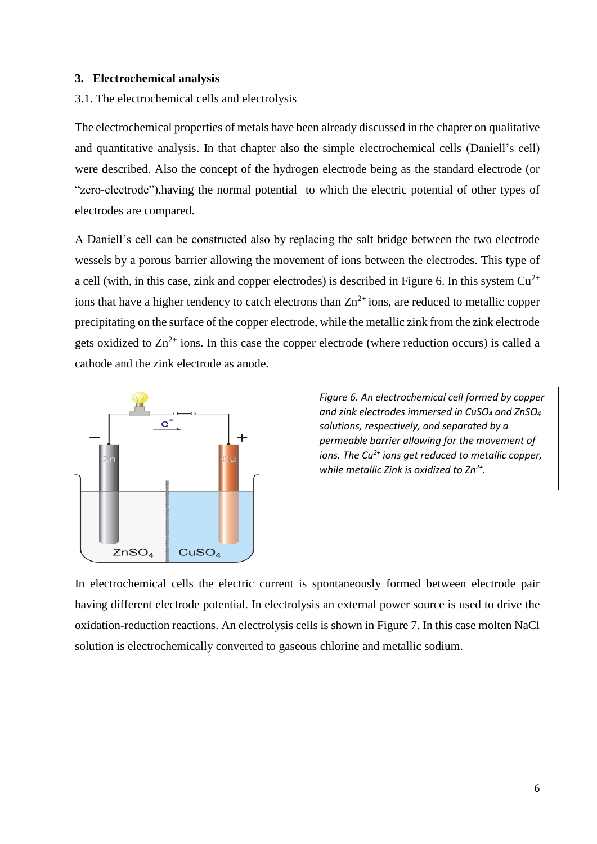#### **3. Electrochemical analysis**

#### 3.1. The electrochemical cells and electrolysis

The electrochemical properties of metals have been already discussed in the chapter on qualitative and quantitative analysis. In that chapter also the simple electrochemical cells (Daniell's cell) were described. Also the concept of the hydrogen electrode being as the standard electrode (or "zero-electrode"),having the normal potential to which the electric potential of other types of electrodes are compared.

A Daniell's cell can be constructed also by replacing the salt bridge between the two electrode wessels by a porous barrier allowing the movement of ions between the electrodes. This type of a cell (with, in this case, zink and copper electrodes) is described in Figure 6. In this system  $Cu^{2+}$ ions that have a higher tendency to catch electrons than  $Zn^{2+}$  ions, are reduced to metallic copper precipitating on the surface of the copper electrode, while the metallic zink from the zink electrode gets oxidized to  $\text{Zn}^{2+}$  ions. In this case the copper electrode (where reduction occurs) is called a cathode and the zink electrode as anode.



*Figure 6. An electrochemical cell formed by copper and zink electrodes immersed in CuSO<sup>4</sup> and ZnSO<sup>4</sup> solutions, respectively, and separated by a permeable barrier allowing for the movement of ions. The Cu2+ ions get reduced to metallic copper, while metallic Zink is oxidized to Zn2+ .*

In electrochemical cells the electric current is spontaneously formed between electrode pair having different electrode potential. In electrolysis an external power source is used to drive the oxidation-reduction reactions. An electrolysis cells is shown in Figure 7. In this case molten NaCl solution is electrochemically converted to gaseous chlorine and metallic sodium.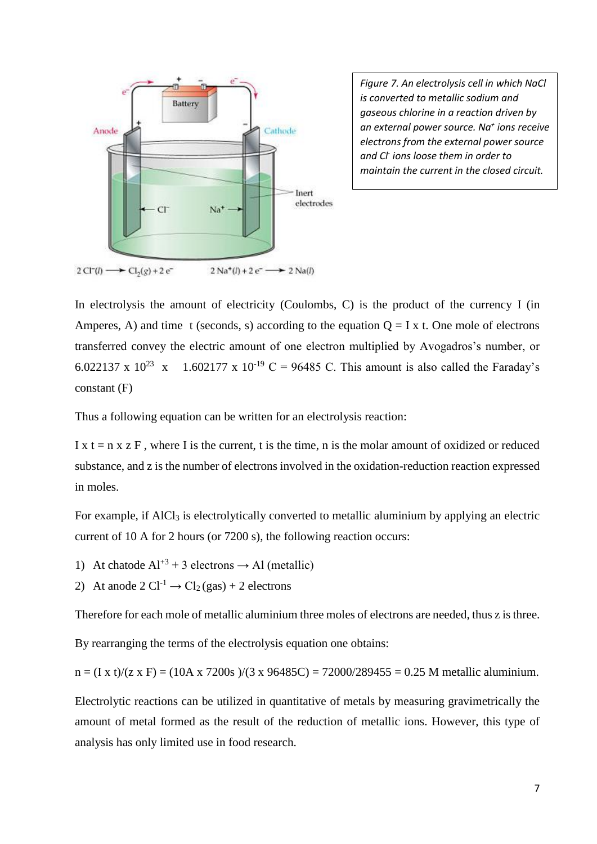

*Figure 7. An electrolysis cell in which NaCl is converted to metallic sodium and gaseous chlorine in a reaction driven by an external power source. Na<sup>+</sup> ions receive electrons from the external power source and Cl-ions loose them in order to maintain the current in the closed circuit.*

In electrolysis the amount of electricity (Coulombs, C) is the product of the currency I (in Amperes, A) and time t (seconds, s) according to the equation  $Q = I x$  t. One mole of electrons transferred convey the electric amount of one electron multiplied by Avogadros's number, or 6.022137 x 10<sup>23</sup> x 1.602177 x 10<sup>-19</sup> C = 96485 C. This amount is also called the Faraday's constant (F)

Thus a following equation can be written for an electrolysis reaction:

I x  $t = n x z F$ , where I is the current, t is the time, n is the molar amount of oxidized or reduced substance, and z is the number of electrons involved in the oxidation-reduction reaction expressed in moles.

For example, if AlCl<sub>3</sub> is electrolytically converted to metallic aluminium by applying an electric current of 10 A for 2 hours (or 7200 s), the following reaction occurs:

1) At chatode  $Al^{+3}$  + 3 electrons  $\rightarrow$  Al (metallic)

2) At anode  $2 \text{ Cl}^{-1} \rightarrow \text{Cl}_2(\text{gas}) + 2$  electrons

Therefore for each mole of metallic aluminium three moles of electrons are needed, thus z is three.

By rearranging the terms of the electrolysis equation one obtains:

 $n = (I \times t)/(z \times F) = (10A \times 7200s)/(3 \times 96485C) = 72000/289455 = 0.25 M$  metallic aluminium.

Electrolytic reactions can be utilized in quantitative of metals by measuring gravimetrically the amount of metal formed as the result of the reduction of metallic ions. However, this type of analysis has only limited use in food research.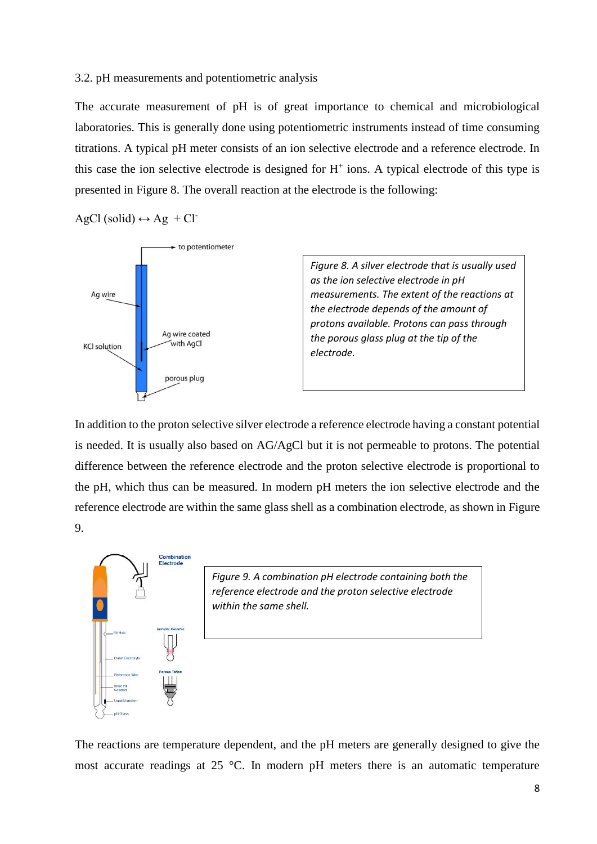#### 3.2. pH measurements and potentiometric analysis

The accurate measurement of pH is of great importance to chemical and microbiological laboratories. This is generally done using potentiometric instruments instead of time consuming titrations. A typical pH meter consists of an ion selective electrode and a reference electrode. In this case the ion selective electrode is designed for  $H^+$  ions. A typical electrode of this type is presented in Figure 8. The overall reaction at the electrode is the following:

 $AgCl$  (solid)  $\leftrightarrow Ag + Cl$ 



*Figure 8. A silver electrode that is usually used as the ion selective electrode in pH measurements. The extent of the reactions at the electrode depends of the amount of protons available. Protons can pass through the porous glass plug at the tip of the electrode.* 

In addition to the proton selective silver electrode a reference electrode having a constant potential is needed. It is usually also based on AG/AgCl but it is not permeable to protons. The potential difference between the reference electrode and the proton selective electrode is proportional to the pH, which thus can be measured. In modern pH meters the ion selective electrode and the reference electrode are within the same glass shell as a combination electrode, as shown in Figure 9.



*Figure 9. A combination pH electrode containing both the reference electrode and the proton selective electrode within the same shell.*

The reactions are temperature dependent, and the pH meters are generally designed to give the most accurate readings at 25 °C. In modern pH meters there is an automatic temperature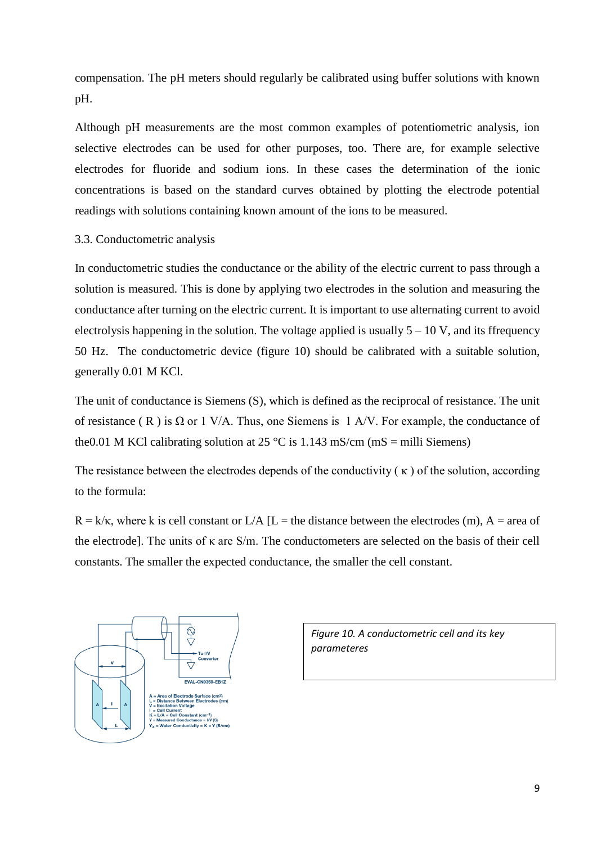compensation. The pH meters should regularly be calibrated using buffer solutions with known pH.

Although pH measurements are the most common examples of potentiometric analysis, ion selective electrodes can be used for other purposes, too. There are, for example selective electrodes for fluoride and sodium ions. In these cases the determination of the ionic concentrations is based on the standard curves obtained by plotting the electrode potential readings with solutions containing known amount of the ions to be measured.

### 3.3. Conductometric analysis

In conductometric studies the conductance or the ability of the electric current to pass through a solution is measured. This is done by applying two electrodes in the solution and measuring the conductance after turning on the electric current. It is important to use alternating current to avoid electrolysis happening in the solution. The voltage applied is usually  $5 - 10$  V, and its ffrequency 50 Hz. The conductometric device (figure 10) should be calibrated with a suitable solution, generally 0.01 M KCl.

The unit of conductance is Siemens (S), which is defined as the reciprocal of resistance. The unit of resistance (R) is  $\Omega$  or 1 V/A. Thus, one Siemens is 1 A/V. For example, the conductance of the 0.01 M KCl calibrating solution at 25 °C is 1.143 mS/cm (mS = milli Siemens)

The resistance between the electrodes depends of the conductivity  $(\kappa)$  of the solution, according to the formula:

 $R = k/\kappa$ , where k is cell constant or L/A [L = the distance between the electrodes (m), A = area of the electrode]. The units of κ are S/m. The conductometers are selected on the basis of their cell constants. The smaller the expected conductance, the smaller the cell constant.



*Figure 10. A conductometric cell and its key parameteres*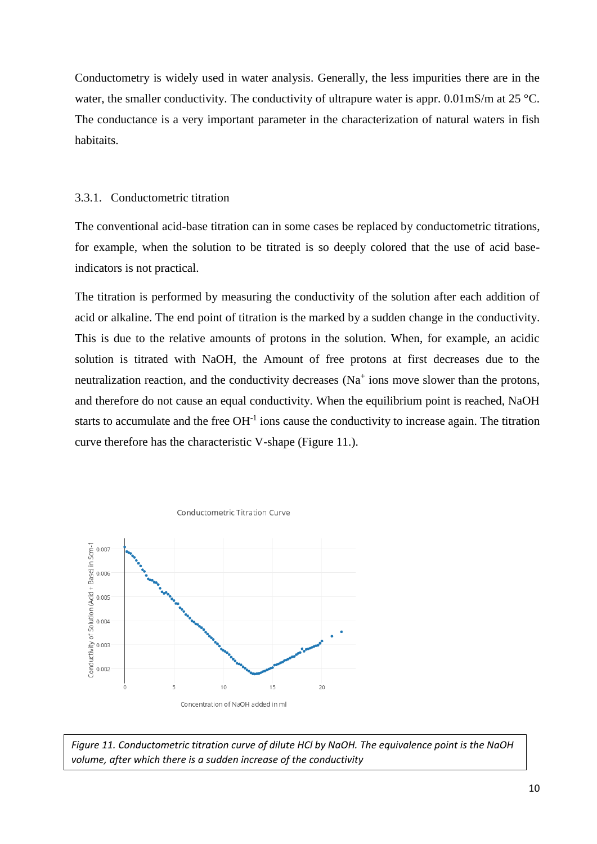Conductometry is widely used in water analysis. Generally, the less impurities there are in the water, the smaller conductivity. The conductivity of ultrapure water is appr.  $0.01$ mS/m at  $25^{\circ}$ C. The conductance is a very important parameter in the characterization of natural waters in fish habitaits.

### 3.3.1. Conductometric titration

The conventional acid-base titration can in some cases be replaced by conductometric titrations, for example, when the solution to be titrated is so deeply colored that the use of acid baseindicators is not practical.

The titration is performed by measuring the conductivity of the solution after each addition of acid or alkaline. The end point of titration is the marked by a sudden change in the conductivity. This is due to the relative amounts of protons in the solution. When, for example, an acidic solution is titrated with NaOH, the Amount of free protons at first decreases due to the neutralization reaction, and the conductivity decreases  $(Na^+)$  ions move slower than the protons, and therefore do not cause an equal conductivity. When the equilibrium point is reached, NaOH starts to accumulate and the free  $OH<sup>-1</sup>$  ions cause the conductivity to increase again. The titration curve therefore has the characteristic V-shape (Figure 11.).



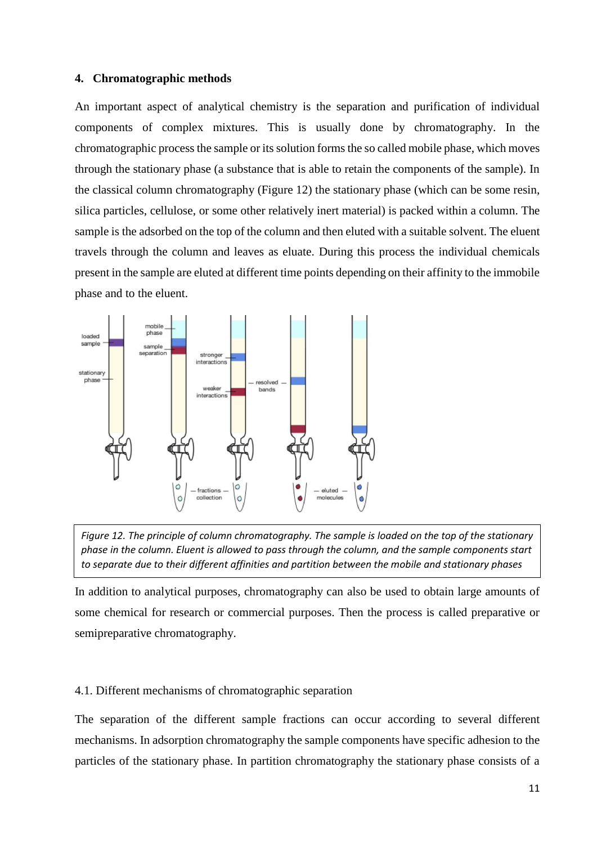#### **4. Chromatographic methods**

An important aspect of analytical chemistry is the separation and purification of individual components of complex mixtures. This is usually done by chromatography. In the chromatographic process the sample or its solution forms the so called mobile phase, which moves through the stationary phase (a substance that is able to retain the components of the sample). In the classical column chromatography (Figure 12) the stationary phase (which can be some resin, silica particles, cellulose, or some other relatively inert material) is packed within a column. The sample is the adsorbed on the top of the column and then eluted with a suitable solvent. The eluent travels through the column and leaves as eluate. During this process the individual chemicals present in the sample are eluted at different time points depending on their affinity to the immobile phase and to the eluent.





In addition to analytical purposes, chromatography can also be used to obtain large amounts of some chemical for research or commercial purposes. Then the process is called preparative or semipreparative chromatography.

#### 4.1. Different mechanisms of chromatographic separation

The separation of the different sample fractions can occur according to several different mechanisms. In adsorption chromatography the sample components have specific adhesion to the particles of the stationary phase. In partition chromatography the stationary phase consists of a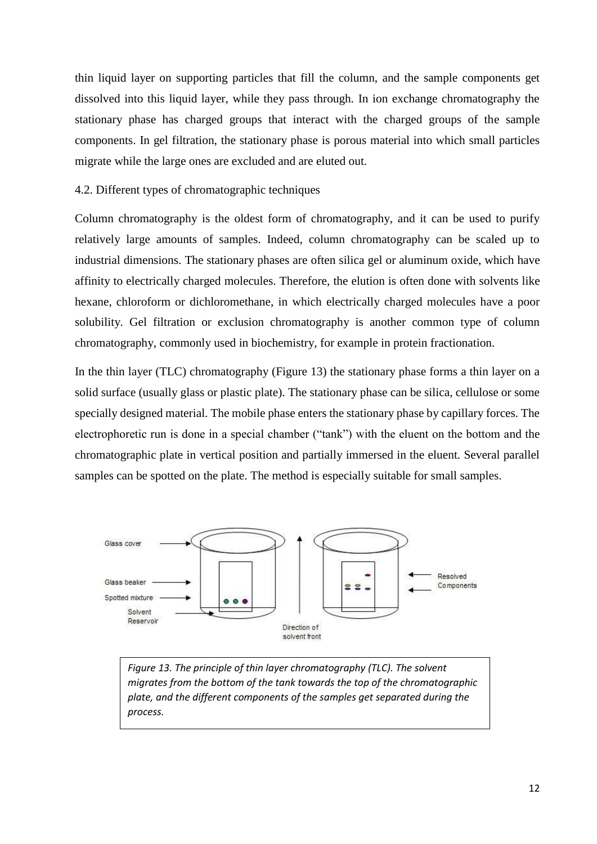thin liquid layer on supporting particles that fill the column, and the sample components get dissolved into this liquid layer, while they pass through. In ion exchange chromatography the stationary phase has charged groups that interact with the charged groups of the sample components. In gel filtration, the stationary phase is porous material into which small particles migrate while the large ones are excluded and are eluted out.

### 4.2. Different types of chromatographic techniques

Column chromatography is the oldest form of chromatography, and it can be used to purify relatively large amounts of samples. Indeed, column chromatography can be scaled up to industrial dimensions. The stationary phases are often silica gel or aluminum oxide, which have affinity to electrically charged molecules. Therefore, the elution is often done with solvents like hexane, chloroform or dichloromethane, in which electrically charged molecules have a poor solubility. Gel filtration or exclusion chromatography is another common type of column chromatography, commonly used in biochemistry, for example in protein fractionation.

In the thin layer (TLC) chromatography (Figure 13) the stationary phase forms a thin layer on a solid surface (usually glass or plastic plate). The stationary phase can be silica, cellulose or some specially designed material. The mobile phase enters the stationary phase by capillary forces. The electrophoretic run is done in a special chamber ("tank") with the eluent on the bottom and the chromatographic plate in vertical position and partially immersed in the eluent. Several parallel samples can be spotted on the plate. The method is especially suitable for small samples.



*Figure 13. The principle of thin layer chromatography (TLC). The solvent migrates from the bottom of the tank towards the top of the chromatographic plate, and the different components of the samples get separated during the process.*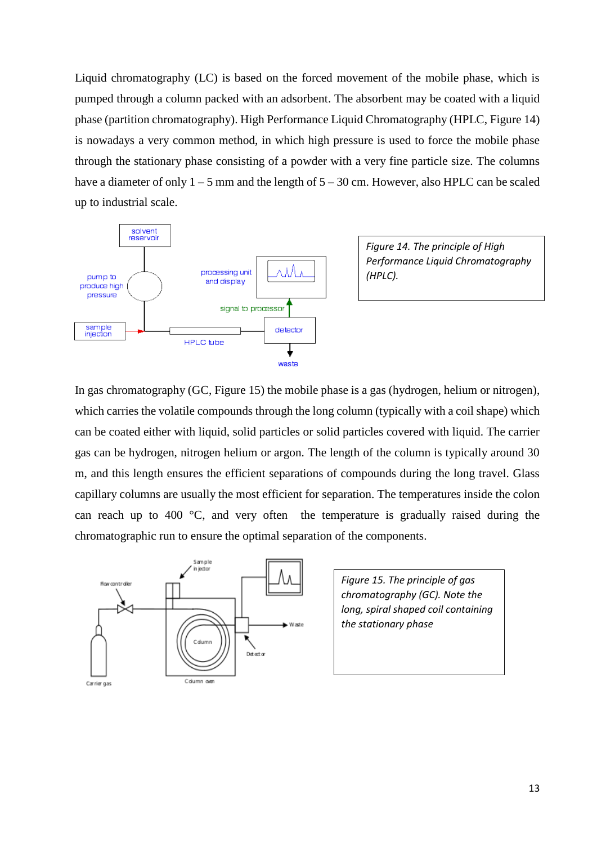Liquid chromatography (LC) is based on the forced movement of the mobile phase, which is pumped through a column packed with an adsorbent. The absorbent may be coated with a liquid phase (partition chromatography). High Performance Liquid Chromatography (HPLC, Figure 14) is nowadays a very common method, in which high pressure is used to force the mobile phase through the stationary phase consisting of a powder with a very fine particle size. The columns have a diameter of only  $1 - 5$  mm and the length of  $5 - 30$  cm. However, also HPLC can be scaled up to industrial scale.



*Figure 14. The principle of High Performance Liquid Chromatography (HPLC).*

In gas chromatography (GC, Figure 15) the mobile phase is a gas (hydrogen, helium or nitrogen), which carries the volatile compounds through the long column (typically with a coil shape) which can be coated either with liquid, solid particles or solid particles covered with liquid. The carrier gas can be hydrogen, nitrogen helium or argon. The length of the column is typically around 30 m, and this length ensures the efficient separations of compounds during the long travel. Glass capillary columns are usually the most efficient for separation. The temperatures inside the colon can reach up to 400 °C, and very often the temperature is gradually raised during the chromatographic run to ensure the optimal separation of the components.



*Figure 15. The principle of gas chromatography (GC). Note the long, spiral shaped coil containing the stationary phase*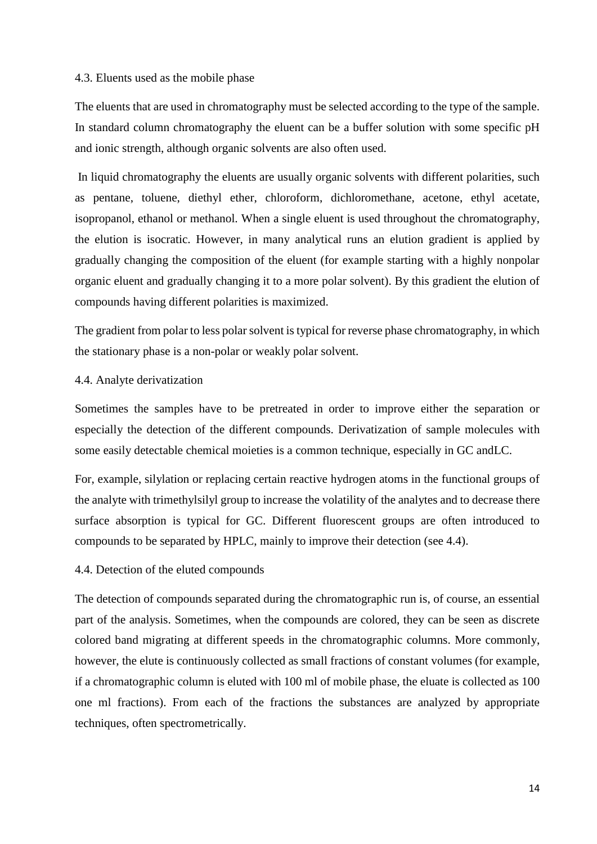#### 4.3. Eluents used as the mobile phase

The eluents that are used in chromatography must be selected according to the type of the sample. In standard column chromatography the eluent can be a buffer solution with some specific pH and ionic strength, although organic solvents are also often used.

In liquid chromatography the eluents are usually organic solvents with different polarities, such as pentane, toluene, diethyl ether, chloroform, dichloromethane, acetone, ethyl acetate, isopropanol, ethanol or methanol. When a single eluent is used throughout the chromatography, the elution is isocratic. However, in many analytical runs an elution gradient is applied by gradually changing the composition of the eluent (for example starting with a highly nonpolar organic eluent and gradually changing it to a more polar solvent). By this gradient the elution of compounds having different polarities is maximized.

The gradient from polar to less polar solvent is typical for reverse phase chromatography, in which the stationary phase is a non-polar or weakly polar solvent.

### 4.4. Analyte derivatization

Sometimes the samples have to be pretreated in order to improve either the separation or especially the detection of the different compounds. Derivatization of sample molecules with some easily detectable chemical moieties is a common technique, especially in GC andLC.

For, example, silylation or replacing certain reactive hydrogen atoms in the functional groups of the analyte with trimethylsilyl group to increase the volatility of the analytes and to decrease there surface absorption is typical for GC. Different fluorescent groups are often introduced to compounds to be separated by HPLC, mainly to improve their detection (see 4.4).

### 4.4. Detection of the eluted compounds

The detection of compounds separated during the chromatographic run is, of course, an essential part of the analysis. Sometimes, when the compounds are colored, they can be seen as discrete colored band migrating at different speeds in the chromatographic columns. More commonly, however, the elute is continuously collected as small fractions of constant volumes (for example, if a chromatographic column is eluted with 100 ml of mobile phase, the eluate is collected as 100 one ml fractions). From each of the fractions the substances are analyzed by appropriate techniques, often spectrometrically.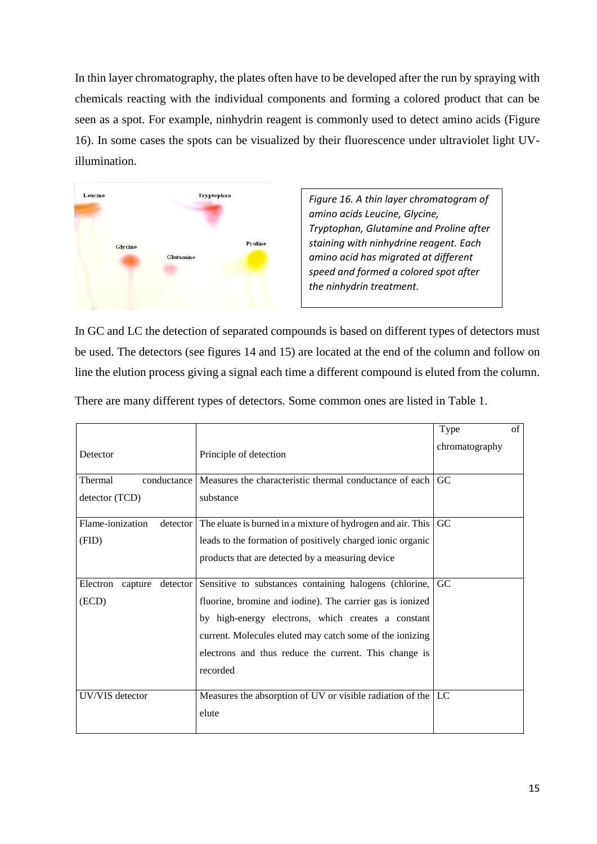In thin layer chromatography, the plates often have to be developed after the run by spraying with chemicals reacting with the individual components and forming a colored product that can be seen as a spot. For example, ninhydrin reagent is commonly used to detect amino acids (Figure 16). In some cases the spots can be visualized by their fluorescence under ultraviolet light UVillumination.



*Figure 16. A thin layer chromatogram of amino acids Leucine, Glycine, Tryptophan, Glutamine and Proline after staining with ninhydrine reagent. Each amino acid has migrated at different speed and formed a colored spot after the ninhydrin treatment.*

In GC and LC the detection of separated compounds is based on different types of detectors must be used. The detectors (see figures 14 and 15) are located at the end of the column and follow on line the elution process giving a signal each time a different compound is eluted from the column.

There are many different types of detectors. Some common ones are listed in Table 1.

|                                 |                                                             | Type           | of |
|---------------------------------|-------------------------------------------------------------|----------------|----|
| Detector                        | Principle of detection                                      | chromatography |    |
| Thermal<br>conductance          | Measures the characteristic thermal conductance of each     | G <sub>C</sub> |    |
| detector (TCD)                  | substance                                                   |                |    |
| Flame-ionization<br>detector    | The eluate is burned in a mixture of hydrogen and air. This | GC             |    |
| (FID)                           | leads to the formation of positively charged ionic organic  |                |    |
|                                 | products that are detected by a measuring device            |                |    |
| Electron<br>detector<br>capture | Sensitive to substances containing halogens (chlorine,      | G <sub>C</sub> |    |
| (ECD)                           | fluorine, bromine and iodine). The carrier gas is ionized   |                |    |
|                                 | by high-energy electrons, which creates a constant          |                |    |
|                                 | current. Molecules eluted may catch some of the ionizing    |                |    |
|                                 | electrons and thus reduce the current. This change is       |                |    |
|                                 | recorded                                                    |                |    |
| UV/VIS detector                 | Measures the absorption of UV or visible radiation of the   | LC             |    |
|                                 | elute                                                       |                |    |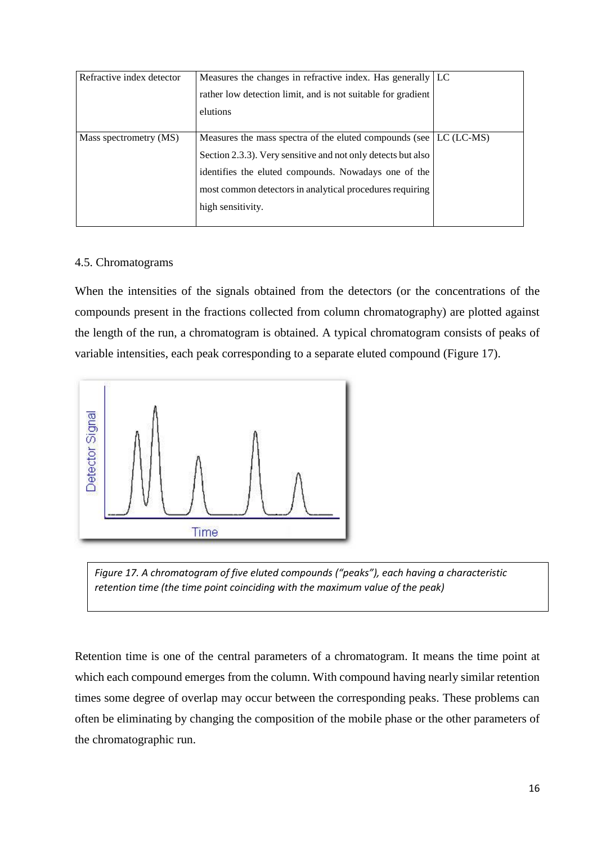| Refractive index detector | Measures the changes in refractive index. Has generally LC<br>rather low detection limit, and is not suitable for gradient                                                                                                                                                 |  |
|---------------------------|----------------------------------------------------------------------------------------------------------------------------------------------------------------------------------------------------------------------------------------------------------------------------|--|
|                           | elutions                                                                                                                                                                                                                                                                   |  |
| Mass spectrometry (MS)    | Measures the mass spectra of the eluted compounds (see LC (LC-MS)<br>Section 2.3.3). Very sensitive and not only detects but also<br>identifies the eluted compounds. Nowadays one of the<br>most common detectors in analytical procedures requiring<br>high sensitivity. |  |

### 4.5. Chromatograms

When the intensities of the signals obtained from the detectors (or the concentrations of the compounds present in the fractions collected from column chromatography) are plotted against the length of the run, a chromatogram is obtained. A typical chromatogram consists of peaks of variable intensities, each peak corresponding to a separate eluted compound (Figure 17).



*Figure 17. A chromatogram of five eluted compounds ("peaks"), each having a characteristic retention time (the time point coinciding with the maximum value of the peak)* 

Retention time is one of the central parameters of a chromatogram. It means the time point at which each compound emerges from the column. With compound having nearly similar retention times some degree of overlap may occur between the corresponding peaks. These problems can often be eliminating by changing the composition of the mobile phase or the other parameters of the chromatographic run.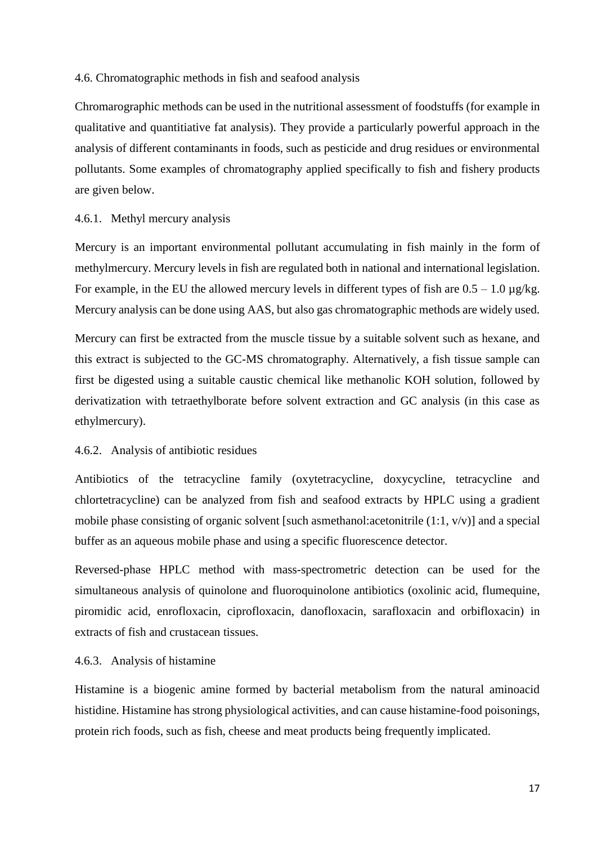#### 4.6. Chromatographic methods in fish and seafood analysis

Chromarographic methods can be used in the nutritional assessment of foodstuffs (for example in qualitative and quantitiative fat analysis). They provide a particularly powerful approach in the analysis of different contaminants in foods, such as pesticide and drug residues or environmental pollutants. Some examples of chromatography applied specifically to fish and fishery products are given below.

### 4.6.1. Methyl mercury analysis

Mercury is an important environmental pollutant accumulating in fish mainly in the form of methylmercury. Mercury levels in fish are regulated both in national and international legislation. For example, in the EU the allowed mercury levels in different types of fish are  $0.5 - 1.0 \mu g/kg$ . Mercury analysis can be done using AAS, but also gas chromatographic methods are widely used.

Mercury can first be extracted from the muscle tissue by a suitable solvent such as hexane, and this extract is subjected to the GC-MS chromatography. Alternatively, a fish tissue sample can first be digested using a suitable caustic chemical like methanolic KOH solution, followed by derivatization with tetraethylborate before solvent extraction and GC analysis (in this case as ethylmercury).

#### 4.6.2. Analysis of antibiotic residues

Antibiotics of the tetracycline family (oxytetracycline, doxycycline, tetracycline and chlortetracycline) can be analyzed from fish and seafood extracts by HPLC using a gradient mobile phase consisting of organic solvent [such asmethanol:acetonitrile (1:1, v/v)] and a special buffer as an aqueous mobile phase and using a specific fluorescence detector.

Reversed-phase HPLC method with mass-spectrometric detection can be used for the simultaneous analysis of quinolone and fluoroquinolone antibiotics (oxolinic acid, flumequine, piromidic acid, enrofloxacin, ciprofloxacin, danofloxacin, sarafloxacin and orbifloxacin) in extracts of fish and crustacean tissues.

### 4.6.3. Analysis of histamine

Histamine is a biogenic amine formed by bacterial metabolism from the natural aminoacid histidine. Histamine has strong physiological activities, and can cause histamine-food poisonings, protein rich foods, such as fish, cheese and meat products being frequently implicated.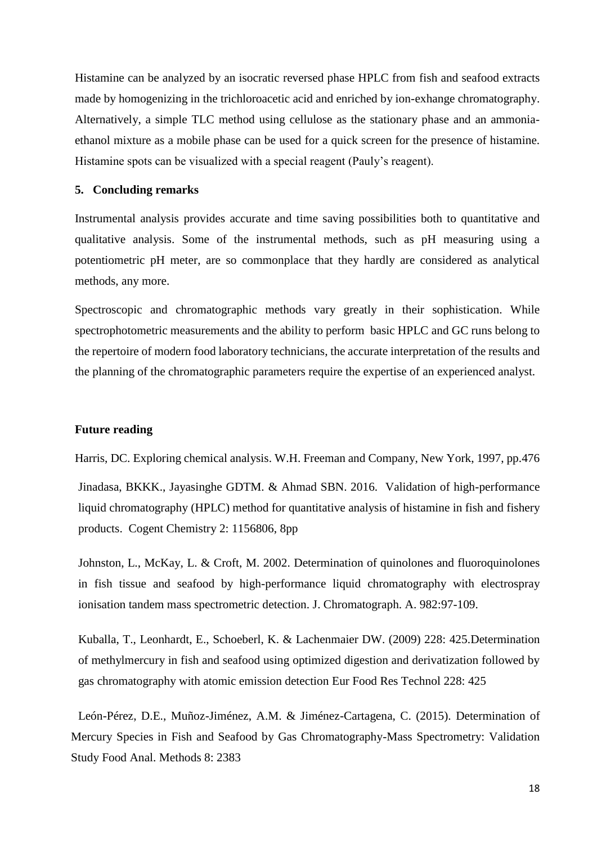Histamine can be analyzed by an isocratic reversed phase HPLC from fish and seafood extracts made by homogenizing in the trichloroacetic acid and enriched by ion-exhange chromatography. Alternatively, a simple TLC method using cellulose as the stationary phase and an ammoniaethanol mixture as a mobile phase can be used for a quick screen for the presence of histamine. Histamine spots can be visualized with a special reagent (Pauly's reagent).

#### **5. Concluding remarks**

Instrumental analysis provides accurate and time saving possibilities both to quantitative and qualitative analysis. Some of the instrumental methods, such as pH measuring using a potentiometric pH meter, are so commonplace that they hardly are considered as analytical methods, any more.

Spectroscopic and chromatographic methods vary greatly in their sophistication. While spectrophotometric measurements and the ability to perform basic HPLC and GC runs belong to the repertoire of modern food laboratory technicians, the accurate interpretation of the results and the planning of the chromatographic parameters require the expertise of an experienced analyst.

#### **Future reading**

Harris, DC. Exploring chemical analysis. W.H. Freeman and Company, New York, 1997, pp.476 Jinadasa, BKKK., Jayasinghe GDTM. & Ahmad SBN. 2016. Validation of high-performance liquid chromatography (HPLC) method for quantitative analysis of histamine in fish and fishery products. Cogent Chemistry 2: 1156806, 8pp

Johnston, L., McKay, L. & Croft, M. 2002. Determination of quinolones and fluoroquinolones in fish tissue and seafood by high-performance liquid chromatography with electrospray ionisation tandem mass spectrometric detection. J. Chromatograph. A. 982:97-109.

Kuballa, T., Leonhardt, E., Schoeberl, K. & Lachenmaier DW. (2009) 228: 425.Determination of methylmercury in fish and seafood using optimized digestion and derivatization followed by gas chromatography with atomic emission detection Eur Food Res Technol 228: 425

León-Pérez, D.E., Muñoz-Jiménez, A.M. & Jiménez-Cartagena, C. (2015). Determination of Mercury Species in Fish and Seafood by Gas Chromatography-Mass Spectrometry: Validation Study Food Anal. Methods 8: 2383